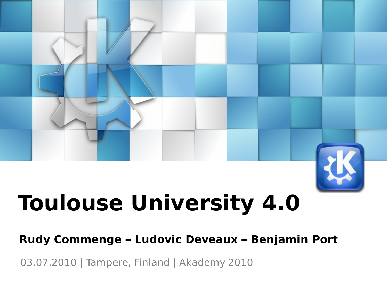# **Toulouse University 4.0**

### **Rudy Commenge – Ludovic Deveaux – Benjamin Port**

03.07.2010 | Tampere, Finland | Akademy 2010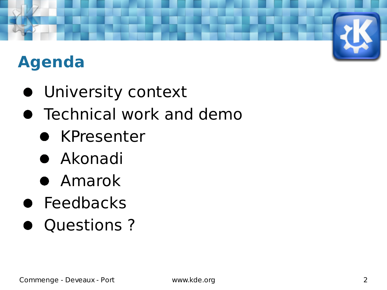# **Agenda**

- University context
- **Technical work and demo** 
	- **KPresenter**
	- Akonadi
	- Amarok
- Feedbacks
- Questions?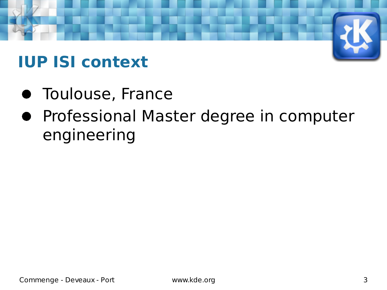# **IUP ISI context**

- **Toulouse, France**
- **Professional Master degree in computer** engineering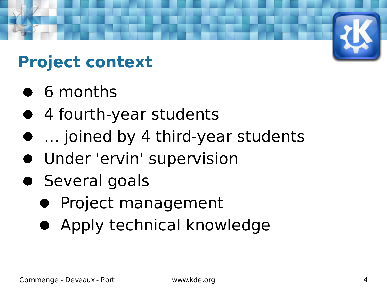# **Project context**

- **6** months
- 4 fourth-year students
- … joined by 4 third-year students
- Under 'ervin' supervision
- **Several goals** 
	- **Project management**
	- Apply technical knowledge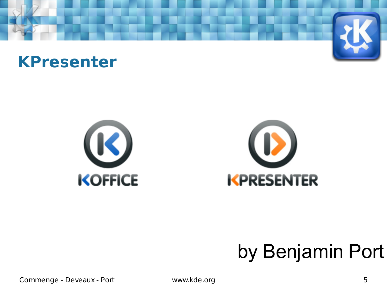







# by Benjamin Port

Commenge - Deveaux - Port www.kde.org 5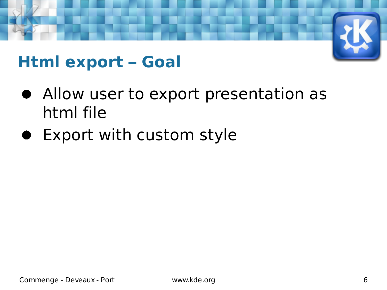### **Html export – Goal**

- Allow user to export presentation as html file
- Export with custom style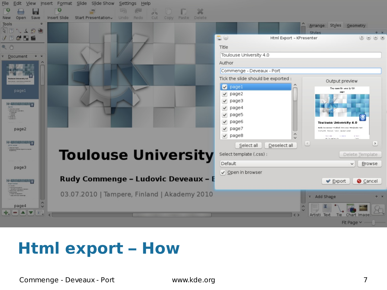

### **Html export - How**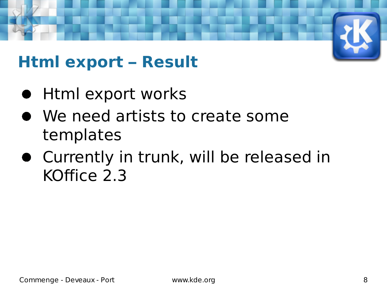## **Html export – Result**

- **Html export works**
- We need artists to create some templates
- Currently in trunk, will be released in KOffice 2.3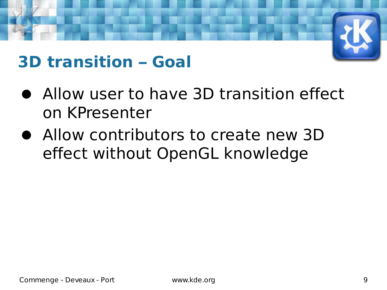### **3D transition – Goal**

- Allow user to have 3D transition effect on KPresenter
- Allow contributors to create new 3D effect without OpenGL knowledge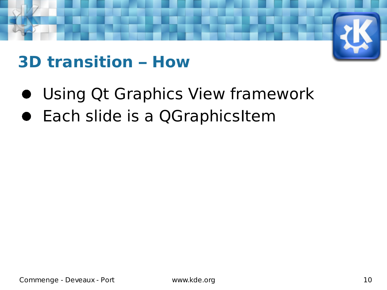### **3D transition – How**

- Using Qt Graphics View framework
- Each slide is a QGraphicsItem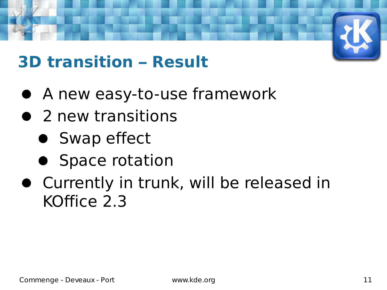## **3D transition – Result**

- A new easy-to-use framework
- 2 new transitions
	- Swap effect
	- Space rotation
- Currently in trunk, will be released in KOffice 2.3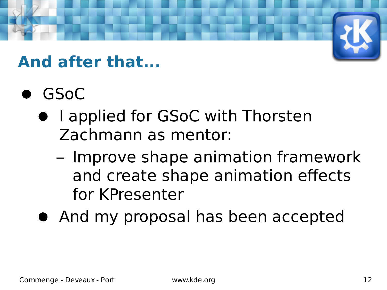### **And after that...**

- GSoC
	- I applied for GSoC with Thorsten Zachmann as mentor:
		- Improve shape animation framework and create shape animation effects for KPresenter
	- And my proposal has been accepted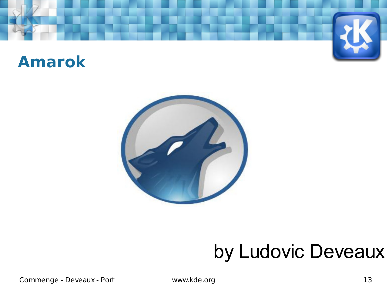### **Amarok**



# by Ludovic Deveaux

Commenge - Deveaux - Port www.kde.org **13**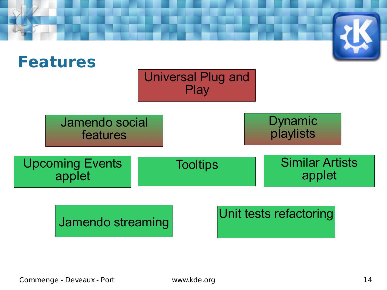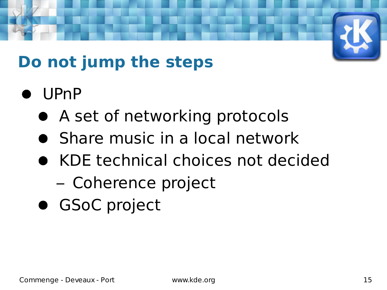# **Do not jump the steps**

- UPnP
	- A set of networking protocols
	- Share music in a local network
	- KDE technical choices not decided
		- Coherence project
	- **GSoC project**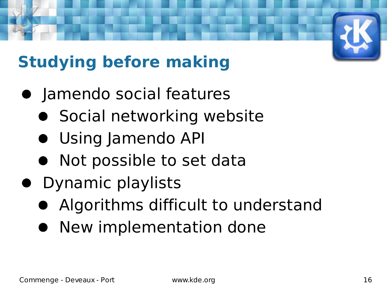# **Studying before making**

- **•** Jamendo social features
	- **•** Social networking website
	- Using Jamendo API
	- Not possible to set data
- Dynamic playlists
	- Algorithms difficult to understand
	- **New implementation done**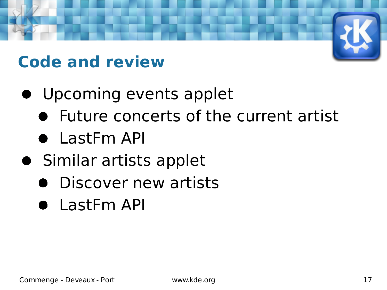## **Code and review**

- Upcoming events applet
	- Future concerts of the current artist
	- LastFm API
- **•** Similar artists applet
	- **•** Discover new artists
	- LastFm API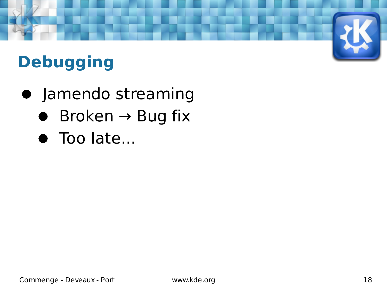# **Debugging**

- **•** Jamendo streaming
	- $\bullet$  Broken  $\rightarrow$  Bug fix
	- Too late...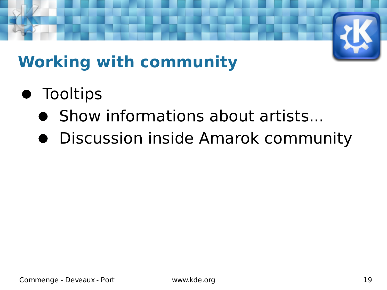

# **Working with community**

- **•** Tooltips
	- **Show informations about artists...**
	- Discussion inside Amarok community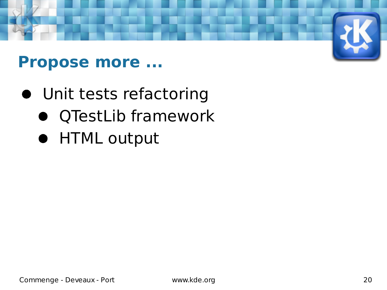

### **Propose more ...**

- Unit tests refactoring
	- QTestLib framework
	- HTML output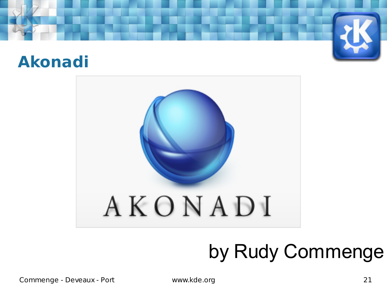



# by Rudy Commenge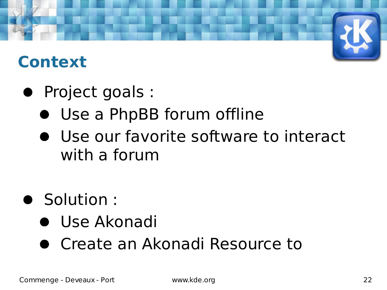### **Context**

- Project goals :
	- Use a PhpBB forum offline
	- Use our favorite software to interact with a forum
- **Solution:** 
	- Use Akonadi
	- Create an Akonadi Resource to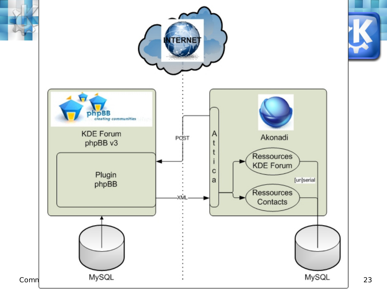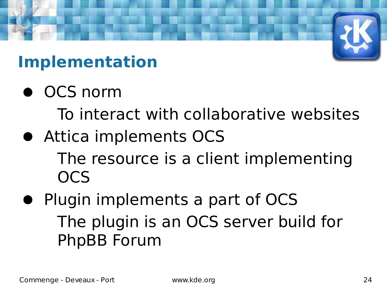# **Implementation**

 $\bullet$  OCS norm

To interact with collaborative websites

Attica implements OCS

The resource is a client implementing OCS

• Plugin implements a part of OCS The plugin is an OCS server build for PhpBB Forum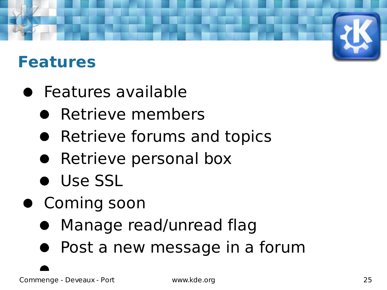### **Features**

- **•** Features available
	- **Retrieve members**
	- Retrieve forums and topics
	- Retrieve personal box
	- **.** Use SSL
- **Coming soon** 
	- Manage read/unread flag
	- Post a new message in a forum

Commenge - Deveaux - Port www.kde.org 25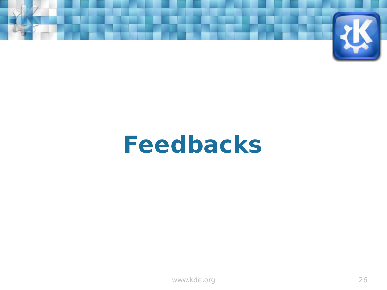

# **Feedbacks**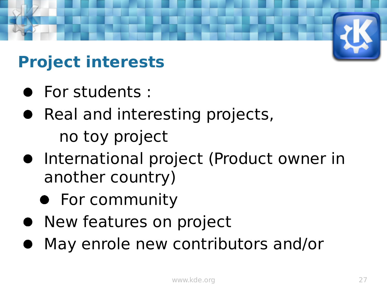# **Project interests**

- For students :
- Real and interesting projects, no toy project
- **•** International project (Product owner in another country)
	- **•** For community
- **New features on project**
- May enrole new contributors and/or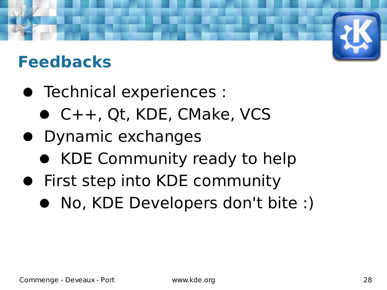## **Feedbacks**

- Technical experiences :
	- C++, Qt, KDE, CMake, VCS
- **•** Dynamic exchanges
	- KDE Community ready to help
- **•** First step into KDE community
	- No, KDE Developers don't bite :)